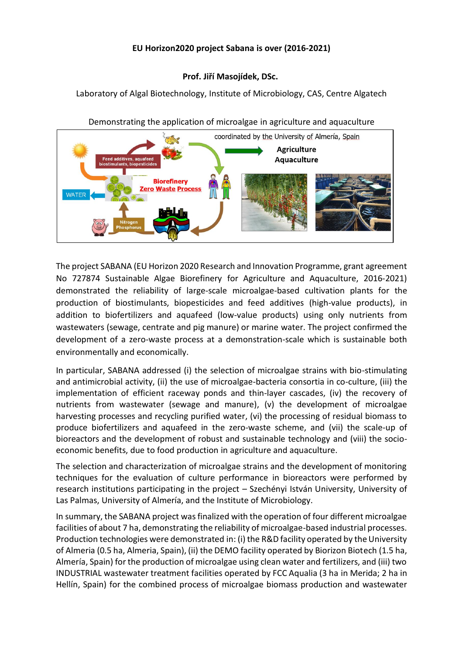## **EU Horizon2020 project Sabana is over (2016-2021)**

## **Prof. Jiří Masojídek, DSc.**

Laboratory of Algal Biotechnology, Institute of Microbiology, CAS, Centre Algatech





The project SABANA (EU Horizon 2020 Research and Innovation Programme, grant agreement No 727874 Sustainable Algae Biorefinery for Agriculture and Aquaculture, 2016-2021) demonstrated the reliability of large-scale microalgae-based cultivation plants for the production of biostimulants, biopesticides and feed additives (high-value products), in addition to biofertilizers and aquafeed (low-value products) using only nutrients from wastewaters (sewage, centrate and pig manure) or marine water. The project confirmed the development of a zero-waste process at a demonstration-scale which is sustainable both environmentally and economically.

In particular, SABANA addressed (i) the selection of microalgae strains with bio-stimulating and antimicrobial activity, (ii) the use of microalgae-bacteria consortia in co-culture, (iii) the implementation of efficient raceway ponds and thin-layer cascades, (iv) the recovery of nutrients from wastewater (sewage and manure), (v) the development of microalgae harvesting processes and recycling purified water, (vi) the processing of residual biomass to produce biofertilizers and aquafeed in the zero-waste scheme, and (vii) the scale-up of bioreactors and the development of robust and sustainable technology and (viii) the socioeconomic benefits, due to food production in agriculture and aquaculture.

The selection and characterization of microalgae strains and the development of monitoring techniques for the evaluation of culture performance in bioreactors were performed by research institutions participating in the project – Szechényi István University, University of Las Palmas, University of Almería, and the Institute of Microbiology.

In summary, the SABANA project was finalized with the operation of four different microalgae facilities of about 7 ha, demonstrating the reliability of microalgae-based industrial processes. Production technologies were demonstrated in: (i) the R&D facility operated by the University of Almeria (0.5 ha, Almeria, Spain), (ii) the DEMO facility operated by Biorizon Biotech (1.5 ha, Almería, Spain) for the production of microalgae using clean water and fertilizers, and (iii) two INDUSTRIAL wastewater treatment facilities operated by FCC Aqualia (3 ha in Merida; 2 ha in Hellín, Spain) for the combined process of microalgae biomass production and wastewater